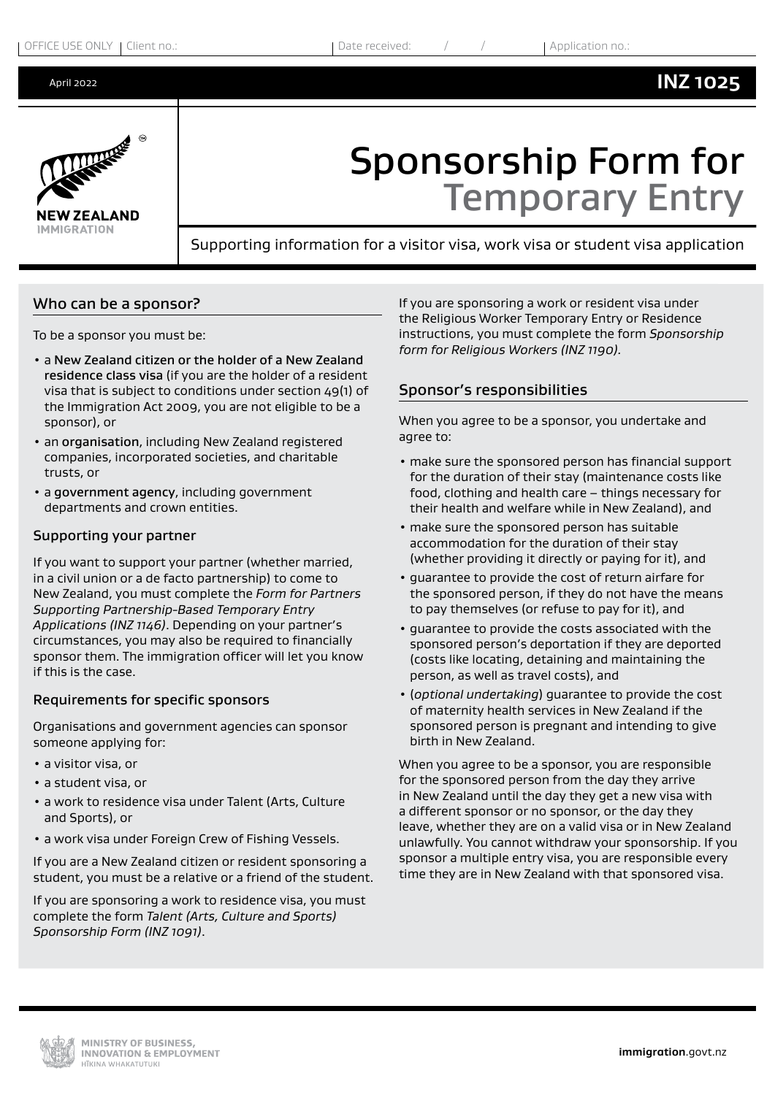**INZ 1025**



# Sponsorship Form for Temporary Entry

Supporting information for a visitor visa, work visa or student visa application

#### Who can be a sponsor?

To be a sponsor you must be:

- a New Zealand citizen or the holder of a New Zealand residence class visa (if you are the holder of a resident visa that is subject to conditions under section 49(1) of the Immigration Act 2009, you are not eligible to be a sponsor), or
- an organisation, including New Zealand registered companies, incorporated societies, and charitable trusts, or
- a government agency, including government departments and crown entities.

#### Supporting your partner

If you want to support your partner (whether married, in a civil union or a de facto partnership) to come to New Zealand, you must complete the *Form for Partners Supporting Partnership-Based Temporary Entry Applications (INZ 1146)*. Depending on your partner's circumstances, you may also be required to financially sponsor them. The immigration officer will let you know if this is the case.

#### Requirements for specific sponsors

Organisations and government agencies can sponsor someone applying for:

- a visitor visa, or
- a student visa, or
- a work to residence visa under Talent (Arts, Culture and Sports), or
- a work visa under Foreign Crew of Fishing Vessels.

If you are a New Zealand citizen or resident sponsoring a student, you must be a relative or a friend of the student.

If you are sponsoring a work to residence visa, you must complete the form *Talent (Arts, Culture and Sports) Sponsorship Form (INZ 1091)*.

If you are sponsoring a work or resident visa under the Religious Worker Temporary Entry or Residence instructions, you must complete the form *Sponsorship form for Religious Workers (INZ 1190).*

## Sponsor's responsibilities

When you agree to be a sponsor, you undertake and agree to:

- make sure the sponsored person has financial support for the duration of their stay (maintenance costs like food, clothing and health care – things necessary for their health and welfare while in New Zealand), and
- make sure the sponsored person has suitable accommodation for the duration of their stay (whether providing it directly or paying for it), and
- guarantee to provide the cost of return airfare for the sponsored person, if they do not have the means to pay themselves (or refuse to pay for it), and
- guarantee to provide the costs associated with the sponsored person's deportation if they are deported (costs like locating, detaining and maintaining the person, as well as travel costs), and
- (*optional undertaking*) guarantee to provide the cost of maternity health services in New Zealand if the sponsored person is pregnant and intending to give birth in New Zealand.

When you agree to be a sponsor, you are responsible for the sponsored person from the day they arrive in New Zealand until the day they get a new visa with a different sponsor or no sponsor, or the day they leave, whether they are on a valid visa or in New Zealand unlawfully. You cannot withdraw your sponsorship. If you sponsor a multiple entry visa, you are responsible every time they are in New Zealand with that sponsored visa.

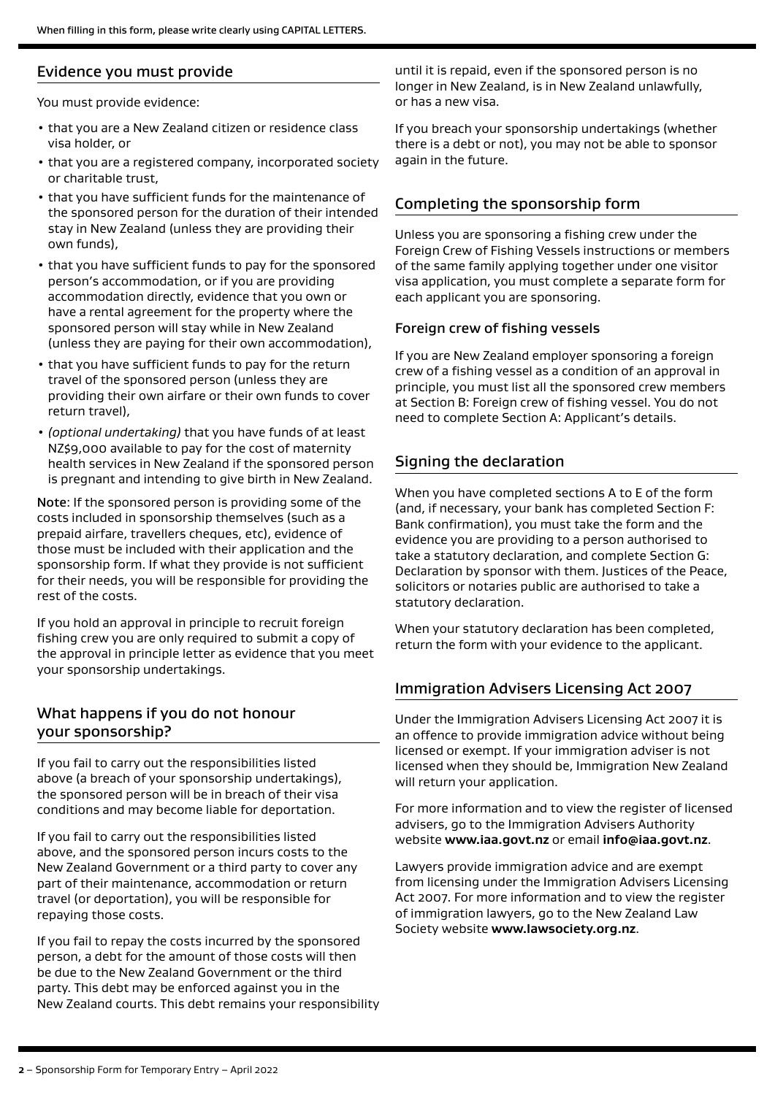## Evidence you must provide

You must provide evidence:

- that you are a New Zealand citizen or residence class visa holder, or
- that you are a registered company, incorporated society or charitable trust,
- that you have sufficient funds for the maintenance of the sponsored person for the duration of their intended stay in New Zealand (unless they are providing their own funds),
- that you have sufficient funds to pay for the sponsored person's accommodation, or if you are providing accommodation directly, evidence that you own or have a rental agreement for the property where the sponsored person will stay while in New Zealand (unless they are paying for their own accommodation),
- that you have sufficient funds to pay for the return travel of the sponsored person (unless they are providing their own airfare or their own funds to cover return travel),
- *(optional undertaking)* that you have funds of at least NZ\$9,000 available to pay for the cost of maternity health services in New Zealand if the sponsored person is pregnant and intending to give birth in New Zealand.

Note: If the sponsored person is providing some of the costs included in sponsorship themselves (such as a prepaid airfare, travellers cheques, etc), evidence of those must be included with their application and the sponsorship form. If what they provide is not sufficient for their needs, you will be responsible for providing the rest of the costs.

If you hold an approval in principle to recruit foreign fishing crew you are only required to submit a copy of the approval in principle letter as evidence that you meet your sponsorship undertakings.

## What happens if you do not honour your sponsorship?

If you fail to carry out the responsibilities listed above (a breach of your sponsorship undertakings), the sponsored person will be in breach of their visa conditions and may become liable for deportation.

If you fail to carry out the responsibilities listed above, and the sponsored person incurs costs to the New Zealand Government or a third party to cover any part of their maintenance, accommodation or return travel (or deportation), you will be responsible for repaying those costs.

If you fail to repay the costs incurred by the sponsored person, a debt for the amount of those costs will then be due to the New Zealand Government or the third party. This debt may be enforced against you in the New Zealand courts. This debt remains your responsibility until it is repaid, even if the sponsored person is no longer in New Zealand, is in New Zealand unlawfully, or has a new visa.

If you breach your sponsorship undertakings (whether there is a debt or not), you may not be able to sponsor again in the future.

## Completing the sponsorship form

Unless you are sponsoring a fishing crew under the Foreign Crew of Fishing Vessels instructions or members of the same family applying together under one visitor visa application, you must complete a separate form for each applicant you are sponsoring.

#### Foreign crew of fishing vessels

If you are New Zealand employer sponsoring a foreign crew of a fishing vessel as a condition of an approval in principle, you must list all the sponsored crew members at Section B: Foreign crew of fishing vessel. You do not need to complete Section A: Applicant's details.

## Signing the declaration

When you have completed sections A to E of the form (and, if necessary, your bank has completed Section F: Bank confirmation), you must take the form and the evidence you are providing to a person authorised to take a statutory declaration, and complete Section G: Declaration by sponsor with them. Justices of the Peace, solicitors or notaries public are authorised to take a statutory declaration.

When your statutory declaration has been completed, return the form with your evidence to the applicant.

## Immigration Advisers Licensing Act 2007

Under the Immigration Advisers Licensing Act 2007 it is an offence to provide immigration advice without being licensed or exempt. If your immigration adviser is not licensed when they should be, Immigration New Zealand will return your application.

For more information and to view the register of licensed advisers, go to the Immigration Advisers Authority website **[www.iaa.govt.nz](http://www.iaa.govt.nz)** or email **[info@iaa.govt.nz](mailto:info%40iaa.govt.nz?subject=)**.

Lawyers provide immigration advice and are exempt from licensing under the Immigration Advisers Licensing Act 2007. For more information and to view the register of immigration lawyers, go to the New Zealand Law Society website **[www.lawsociety.org.nz](http://www.lawsociety.org.nz)**.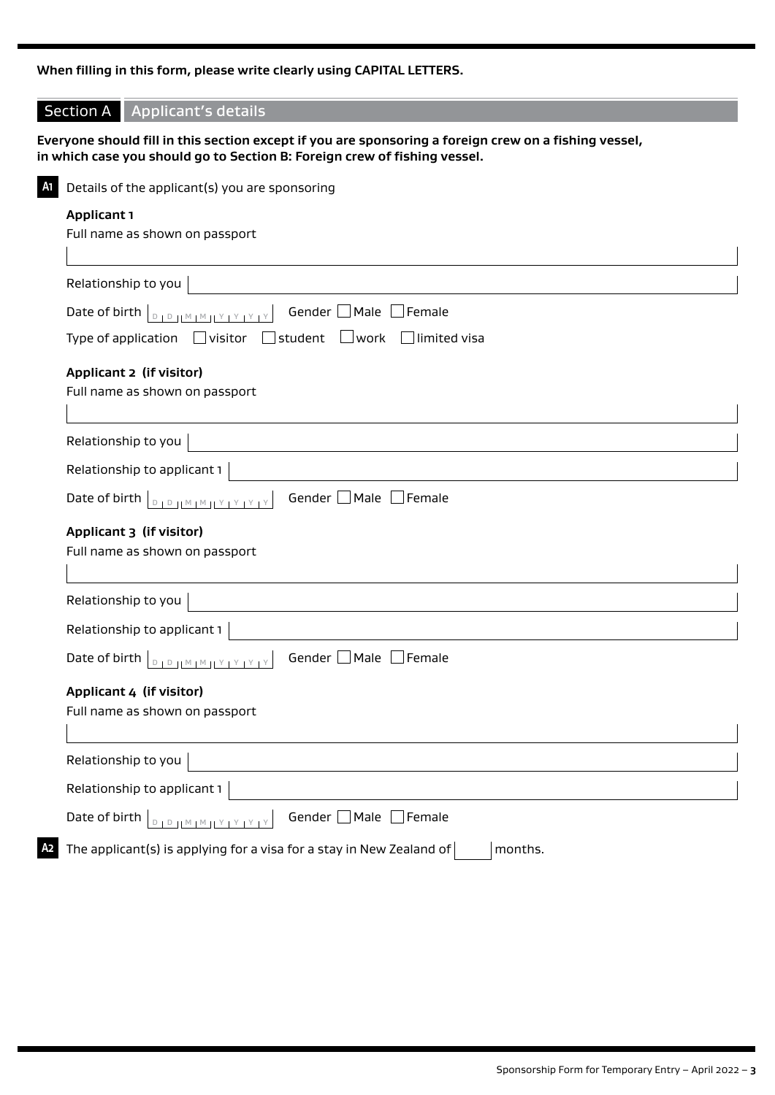## **When filling in this form, please write clearly using CAPITAL LETTERS.**

| <b>Section A</b>                                                                          | <b>Applicant's details</b>                                                                                                                                                         |  |  |  |
|-------------------------------------------------------------------------------------------|------------------------------------------------------------------------------------------------------------------------------------------------------------------------------------|--|--|--|
|                                                                                           | Everyone should fill in this section except if you are sponsoring a foreign crew on a fishing vessel,<br>in which case you should go to Section B: Foreign crew of fishing vessel. |  |  |  |
|                                                                                           | Details of the applicant(s) you are sponsoring                                                                                                                                     |  |  |  |
|                                                                                           |                                                                                                                                                                                    |  |  |  |
| <b>Applicant 1</b><br>Full name as shown on passport                                      |                                                                                                                                                                                    |  |  |  |
|                                                                                           |                                                                                                                                                                                    |  |  |  |
|                                                                                           | Relationship to you                                                                                                                                                                |  |  |  |
| Gender $\Box$ Male $\Box$<br>Female<br>Date of birth<br>$D + D + M + M + M + Y + Y + Y +$ |                                                                                                                                                                                    |  |  |  |
|                                                                                           | student<br>$\Box$ work $\Box$ limited visa<br>Type of application $\Box$ visitor                                                                                                   |  |  |  |
|                                                                                           | Applicant 2 (if visitor)                                                                                                                                                           |  |  |  |
|                                                                                           | Full name as shown on passport                                                                                                                                                     |  |  |  |
|                                                                                           |                                                                                                                                                                                    |  |  |  |
|                                                                                           | Relationship to you                                                                                                                                                                |  |  |  |
|                                                                                           | Relationship to applicant 1                                                                                                                                                        |  |  |  |
| Date of birth                                                                             | Gender Male Female<br>$D + D + [M + M + Y + Y + Y + Y]$                                                                                                                            |  |  |  |
|                                                                                           | Applicant 3 (if visitor)                                                                                                                                                           |  |  |  |
|                                                                                           | Full name as shown on passport                                                                                                                                                     |  |  |  |
|                                                                                           |                                                                                                                                                                                    |  |  |  |
|                                                                                           | Relationship to you                                                                                                                                                                |  |  |  |
|                                                                                           | Relationship to applicant 1                                                                                                                                                        |  |  |  |
|                                                                                           | Gender Male Female<br>Date of birth <b>DEDIMMIY</b>                                                                                                                                |  |  |  |
|                                                                                           | Applicant 4 (if visitor)                                                                                                                                                           |  |  |  |
|                                                                                           | Full name as shown on passport                                                                                                                                                     |  |  |  |
|                                                                                           | Relationship to you                                                                                                                                                                |  |  |  |
|                                                                                           | Relationship to applicant 1                                                                                                                                                        |  |  |  |
|                                                                                           |                                                                                                                                                                                    |  |  |  |
| Date of birth                                                                             | Gender □ Male [<br>$\Box$ Female<br>$1^{\text{D}} 11^{\text{M}} 1^{\text{M}} 11^{\text{Y}} 1^{\text{Y}} 1^{\text{Y}} 1$                                                            |  |  |  |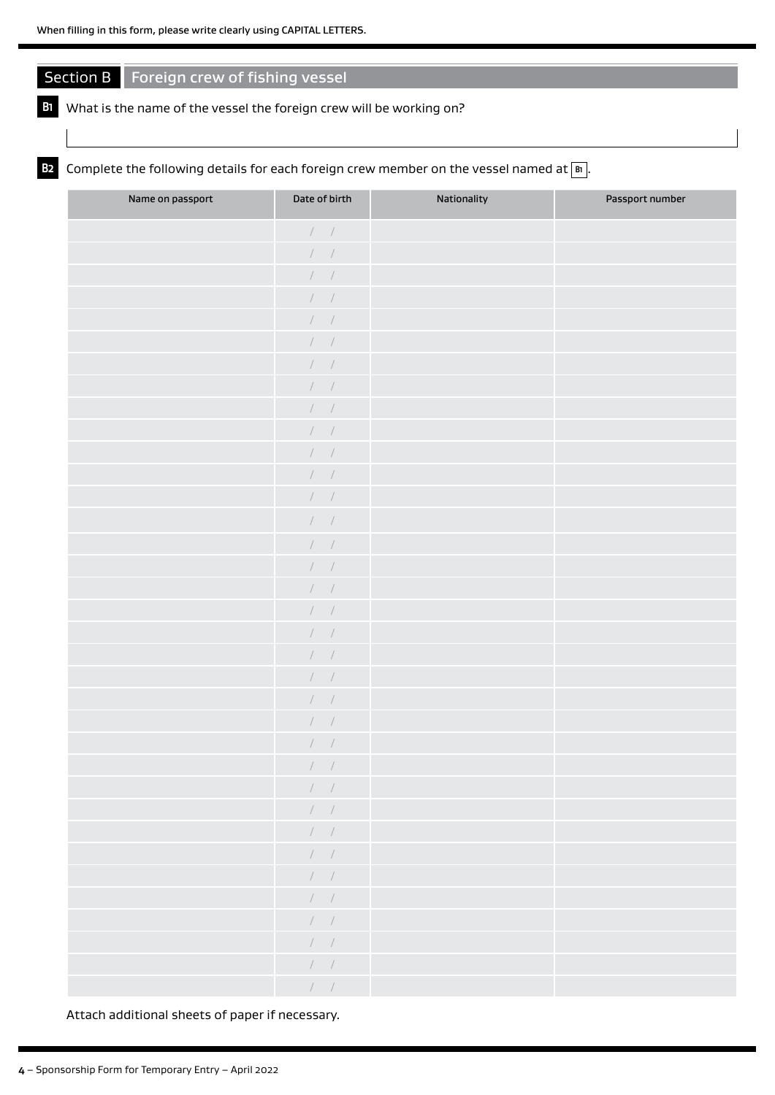## Section B Foreign crew of fishing vessel

## **B1** What is the name of the vessel the foreign crew will be working on?

## **B2** Complete the following details for each foreign crew member on the vessel named at  $\boxed{B}$ .

| Name on passport | Date of birth                                        | Nationality | Passport number |
|------------------|------------------------------------------------------|-------------|-----------------|
|                  | $\hspace{0.1cm} / \hspace{0.1cm}$ $\hspace{0.1cm} /$ |             |                 |
|                  | $\hspace{0.1cm} / \hspace{0.1cm}$ $\hspace{0.1cm} /$ |             |                 |
|                  | $\cal I$ /                                           |             |                 |
|                  | $\hspace{0.1cm} / \hspace{0.1cm}$ $\hspace{0.1cm} /$ |             |                 |
|                  | $\cal I$ /                                           |             |                 |
|                  | $\hspace{0.1cm} / \hspace{0.1cm}$                    |             |                 |
|                  | $\hspace{0.1cm} / \hspace{0.1cm}$ $\hspace{0.1cm} /$ |             |                 |
|                  | $\left  \begin{array}{cc} & \end{array} \right $     |             |                 |
|                  | $\cal I$ /                                           |             |                 |
|                  | $\cal N$ /                                           |             |                 |
|                  | $\cal I$ /                                           |             |                 |
|                  | $\hspace{0.1cm} / \hspace{0.1cm}$                    |             |                 |
|                  | $\hspace{0.1cm} / \hspace{0.1cm}$ $\hspace{0.1cm} /$ |             |                 |
|                  | $\begin{array}{ccc} \end{array}$                     |             |                 |
|                  | $\hspace{0.1cm} / \hspace{0.1cm}$ $\hspace{0.1cm} /$ |             |                 |
|                  | $\sqrt{2}$                                           |             |                 |
|                  | $\cal N$ /                                           |             |                 |
|                  | $\cal I$ /                                           |             |                 |
|                  | $\cal N$ /                                           |             |                 |
|                  | $\hspace{0.1cm} / \hspace{0.1cm}$ $\hspace{0.1cm} /$ |             |                 |
|                  | $\cal I$ /                                           |             |                 |
|                  | $\cal I$ /                                           |             |                 |
|                  | $\cal N$ /                                           |             |                 |
|                  | $\cal N$ /<br>$\overline{1}$                         |             |                 |
|                  | $\sqrt{2}$                                           |             |                 |
|                  | $\begin{array}{cc} I & I \end{array}$                |             |                 |
|                  | $\mathcal{N}=\mathcal{N}$                            |             |                 |
|                  | $\mathcal{N}=\mathcal{N}$                            |             |                 |
|                  | $\mathcal{N}=\mathcal{N}$                            |             |                 |
|                  | $\sqrt{2}$                                           |             |                 |
|                  | $\qquad \qquad \Box$                                 |             |                 |
|                  | $\mathcal{N}=\mathcal{N}$                            |             |                 |
|                  | $\qquad \qquad \Box$                                 |             |                 |
|                  | $\mathcal{I}=\mathcal{I}$                            |             |                 |

Attach additional sheets of paper if necessary.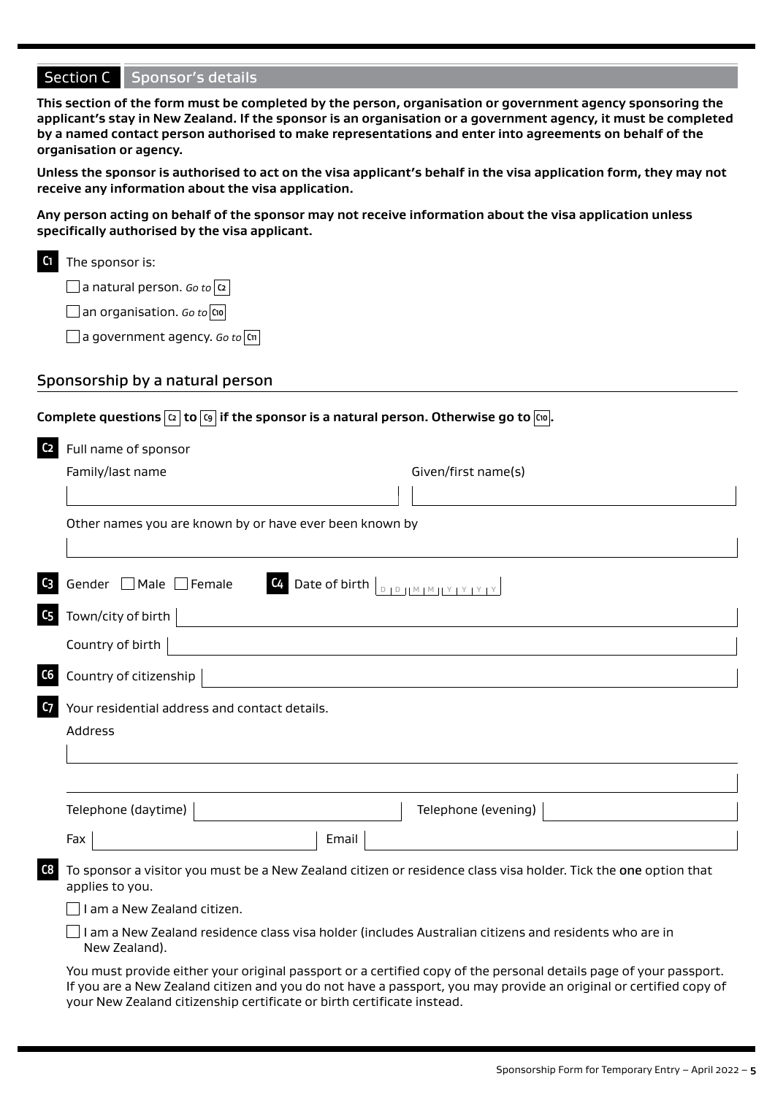**This section of the form must be completed by the person, organisation or government agency sponsoring the applicant's stay in New Zealand. If the sponsor is an organisation or a government agency, it must be completed by a named contact person authorised to make representations and enter into agreements on behalf of the organisation or agency.** 

**Unless the sponsor is authorised to act on the visa applicant's behalf in the visa application form, they may not receive any information about the visa application.** 

**Any person acting on behalf of the sponsor may not receive information about the visa application unless specifically authorised by the visa applicant.**

a natural person. *Go to* **C2**

an organisation. *Go to* **C10**

a government agency. *Go to* **C11**

#### Sponsorship by a natural person

|                                                                        | Complete questions $ \alpha $ to $ \kappa $ if the sponsor is a natural person. Otherwise go to $ \kappa $ .                                                                                                                           |
|------------------------------------------------------------------------|----------------------------------------------------------------------------------------------------------------------------------------------------------------------------------------------------------------------------------------|
| C <sub>2</sub><br>Full name of sponsor                                 |                                                                                                                                                                                                                                        |
| Family/last name                                                       | Given/first name(s)                                                                                                                                                                                                                    |
|                                                                        |                                                                                                                                                                                                                                        |
| Other names you are known by or have ever been known by                |                                                                                                                                                                                                                                        |
|                                                                        |                                                                                                                                                                                                                                        |
| Gender $\Box$ Male $\Box$ Female<br>C3                                 | C <sub>4</sub>                                                                                                                                                                                                                         |
| C5<br>Town/city of birth                                               |                                                                                                                                                                                                                                        |
| Country of birth                                                       |                                                                                                                                                                                                                                        |
| C6<br>Country of citizenship                                           |                                                                                                                                                                                                                                        |
| C <sub>7</sub><br>Your residential address and contact details.        |                                                                                                                                                                                                                                        |
| Address                                                                |                                                                                                                                                                                                                                        |
|                                                                        |                                                                                                                                                                                                                                        |
|                                                                        |                                                                                                                                                                                                                                        |
| Telephone (daytime)                                                    | Telephone (evening)                                                                                                                                                                                                                    |
| Fax                                                                    | Email                                                                                                                                                                                                                                  |
| C8<br>applies to you.                                                  | To sponsor a visitor you must be a New Zealand citizen or residence class visa holder. Tick the one option that                                                                                                                        |
| I am a New Zealand citizen.                                            |                                                                                                                                                                                                                                        |
| New Zealand).                                                          | I am a New Zealand residence class visa holder (includes Australian citizens and residents who are in                                                                                                                                  |
| your New Zealand citizenship certificate or birth certificate instead. | You must provide either your original passport or a certified copy of the personal details page of your passport.<br>If you are a New Zealand citizen and you do not have a passport, you may provide an original or certified copy of |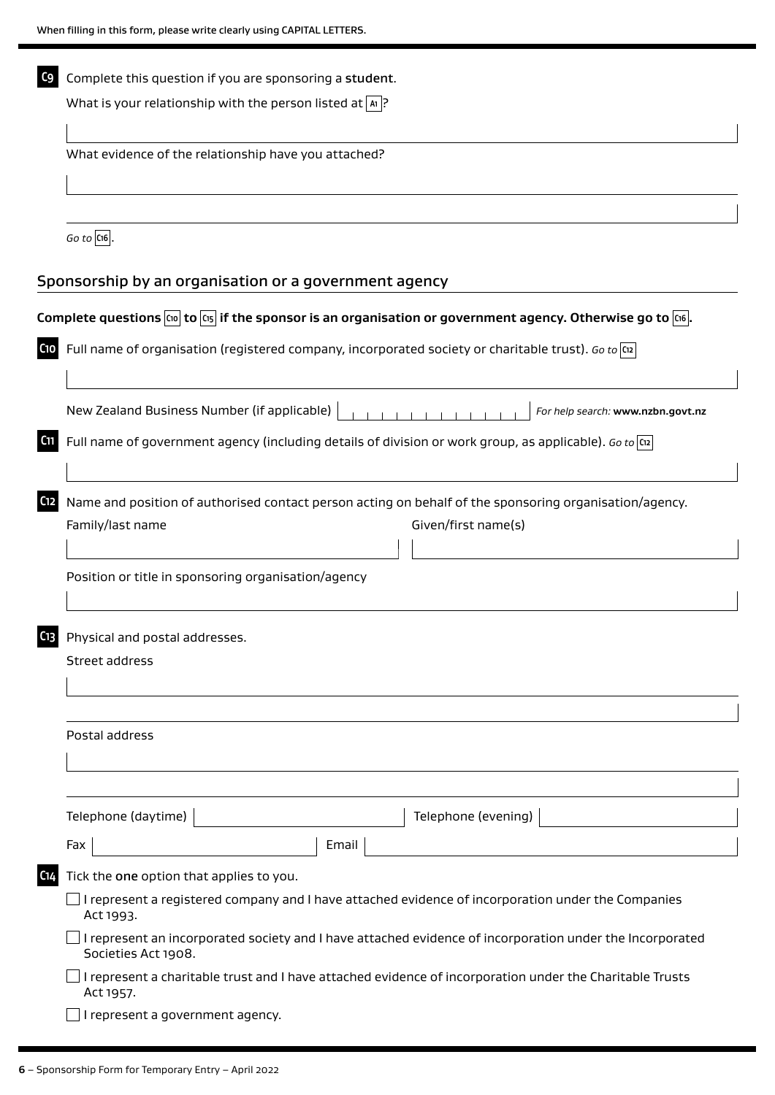| C <sub>9</sub> | Complete this question if you are sponsoring a student.<br>What is your relationship with the person listed at $ \mathbf{a} $ ?                    |  |  |  |  |  |  |
|----------------|----------------------------------------------------------------------------------------------------------------------------------------------------|--|--|--|--|--|--|
|                |                                                                                                                                                    |  |  |  |  |  |  |
|                |                                                                                                                                                    |  |  |  |  |  |  |
|                | What evidence of the relationship have you attached?                                                                                               |  |  |  |  |  |  |
|                |                                                                                                                                                    |  |  |  |  |  |  |
|                |                                                                                                                                                    |  |  |  |  |  |  |
|                | $Go$ to $ C16 $ .                                                                                                                                  |  |  |  |  |  |  |
|                | Sponsorship by an organisation or a government agency                                                                                              |  |  |  |  |  |  |
|                | Complete questions $\overline{c_0}$ to $\overline{c_1}$ if the sponsor is an organisation or government agency. Otherwise go to $\overline{c_1}$ . |  |  |  |  |  |  |
| C10            | Full name of organisation (registered company, incorporated society or charitable trust). Go to $\overline{\omega}$                                |  |  |  |  |  |  |
|                | New Zealand Business Number (if applicable)<br>For help search: www.nzbn.govt.nz                                                                   |  |  |  |  |  |  |
| C11            | Full name of government agency (including details of division or work group, as applicable). Go to $\left \alpha\right $                           |  |  |  |  |  |  |
| C12            | Name and position of authorised contact person acting on behalf of the sponsoring organisation/agency.<br>Family/last name<br>Given/first name(s)  |  |  |  |  |  |  |
|                |                                                                                                                                                    |  |  |  |  |  |  |
|                | Position or title in sponsoring organisation/agency                                                                                                |  |  |  |  |  |  |
| C13            | Physical and postal addresses.                                                                                                                     |  |  |  |  |  |  |
|                | Street address                                                                                                                                     |  |  |  |  |  |  |
|                |                                                                                                                                                    |  |  |  |  |  |  |
|                | Postal address                                                                                                                                     |  |  |  |  |  |  |
|                |                                                                                                                                                    |  |  |  |  |  |  |
|                | Telephone (evening)<br>Telephone (daytime)                                                                                                         |  |  |  |  |  |  |
|                | Email<br>Fax                                                                                                                                       |  |  |  |  |  |  |
| C14            | Tick the one option that applies to you.                                                                                                           |  |  |  |  |  |  |
|                | I represent a registered company and I have attached evidence of incorporation under the Companies<br>Act 1993.                                    |  |  |  |  |  |  |
|                | I represent an incorporated society and I have attached evidence of incorporation under the Incorporated<br>Societies Act 1908.                    |  |  |  |  |  |  |
|                | I represent a charitable trust and I have attached evidence of incorporation under the Charitable Trusts<br>Act 1957.                              |  |  |  |  |  |  |
|                | I represent a government agency.                                                                                                                   |  |  |  |  |  |  |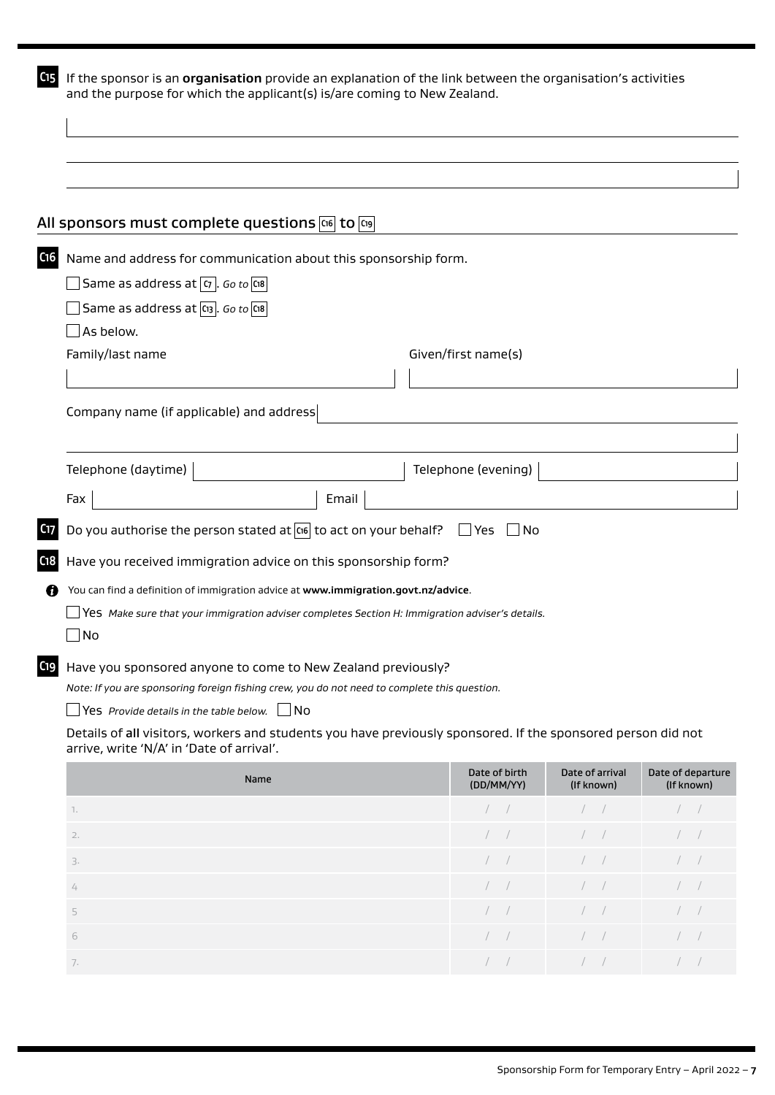| C <sub>15</sub> | If the sponsor is an organisation provide an explanation of the link between the organisation's activities<br>and the purpose for which the applicant(s) is/are coming to New Zealand. |                     |  |  |  |  |
|-----------------|----------------------------------------------------------------------------------------------------------------------------------------------------------------------------------------|---------------------|--|--|--|--|
|                 |                                                                                                                                                                                        |                     |  |  |  |  |
|                 |                                                                                                                                                                                        |                     |  |  |  |  |
|                 | All sponsors must complete questions $\overline{\mathfrak{cs}}$ to $\overline{\mathfrak{cs}}$                                                                                          |                     |  |  |  |  |
| C <sub>16</sub> | Name and address for communication about this sponsorship form.                                                                                                                        |                     |  |  |  |  |
|                 | Same as address at $ \sigma $ . Go to $ \cos \theta $                                                                                                                                  |                     |  |  |  |  |
|                 | Same as address at $ \mathfrak{a}_3 $ . Go to $ \mathfrak{a}_8 $                                                                                                                       |                     |  |  |  |  |
|                 | As below.                                                                                                                                                                              |                     |  |  |  |  |
|                 | Family/last name                                                                                                                                                                       | Given/first name(s) |  |  |  |  |
|                 |                                                                                                                                                                                        |                     |  |  |  |  |
|                 | Company name (if applicable) and address                                                                                                                                               |                     |  |  |  |  |
|                 |                                                                                                                                                                                        |                     |  |  |  |  |
|                 | Telephone (daytime)                                                                                                                                                                    | Telephone (evening) |  |  |  |  |
|                 | Fax<br>Email                                                                                                                                                                           |                     |  |  |  |  |
| C17             | Do you authorise the person stated at $ \cos \cos\phi $ to act on your behalf? $\Box$ Yes $\Box$ No                                                                                    |                     |  |  |  |  |
| C18             | Have you received immigration advice on this sponsorship form?                                                                                                                         |                     |  |  |  |  |
| n               | You can find a definition of immigration advice at www.immigration.govt.nz/advice.                                                                                                     |                     |  |  |  |  |
|                 | Yes Make sure that your immigration adviser completes Section H: Immigration adviser's details.                                                                                        |                     |  |  |  |  |
|                 | No                                                                                                                                                                                     |                     |  |  |  |  |
| C19             | Have you sponsored anyone to come to New Zealand previously?                                                                                                                           |                     |  |  |  |  |
|                 | Note: If you are sponsoring foreign fishing crew, you do not need to complete this question.                                                                                           |                     |  |  |  |  |
|                 | Yes Provide details in the table below. $\Box$ No                                                                                                                                      |                     |  |  |  |  |
|                 | Details of all visitors, workers and students you have previously sponsored. If the sponsored person did not<br>arrive, write 'N/A' in 'Date of arrival'.                              |                     |  |  |  |  |

| Name             | Date of birth<br>(DD/MM/YY)                    | Date of arrival<br>(If known) | Date of departure<br>(If known) |  |
|------------------|------------------------------------------------|-------------------------------|---------------------------------|--|
| $\overline{1}$ . | $\left( \begin{array}{cc} \end{array} \right)$ | $\left  \right $              |                                 |  |
| 2.               | $\overline{\phantom{a}}$                       | $\overline{\phantom{a}}$      |                                 |  |
| 3.               | $\sqrt{2}$                                     | $\left  \right $              | $\sim$                          |  |
| $\overline{4}$   | $\overline{\phantom{a}}$                       | $\overline{\phantom{a}}$      |                                 |  |
| 5.               | $1 - T$                                        | $\sqrt{1}$                    | mark of                         |  |
| 6                | $\sim$                                         |                               |                                 |  |
| 7.               |                                                | $\overline{\phantom{a}}$      |                                 |  |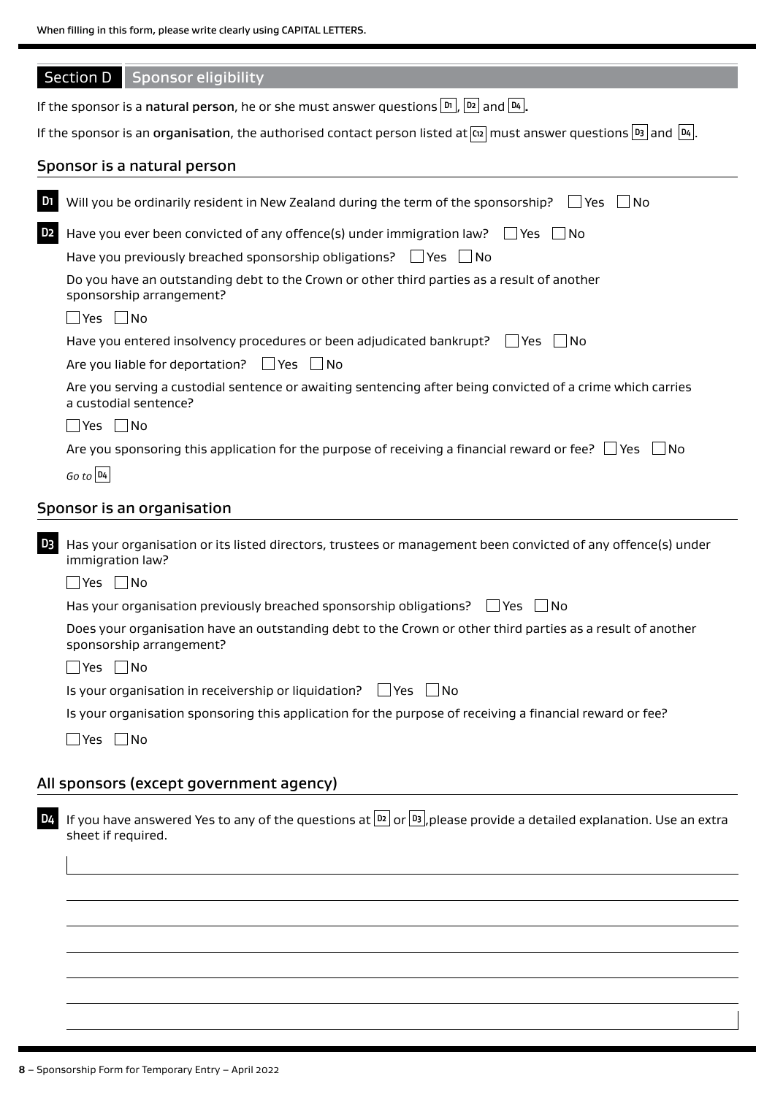| When filling in this form, please write clearly using CAPITAL LETTERS. |  |
|------------------------------------------------------------------------|--|
|------------------------------------------------------------------------|--|

|                | <b>Section D</b><br>Sponsor eligibility                                                                                                           |
|----------------|---------------------------------------------------------------------------------------------------------------------------------------------------|
|                | If the sponsor is a natural person, he or she must answer questions $\lfloor m \rfloor$ , $\lfloor m \rfloor$ and $\lfloor n_4 \rfloor$ .         |
|                | If the sponsor is an organisation, the authorised contact person listed at $\alpha$ must answer questions $ B_3 $ and $ B_4 $ .                   |
|                | Sponsor is a natural person                                                                                                                       |
| D <sub>1</sub> | Will you be ordinarily resident in New Zealand during the term of the sponsorship?<br>l lYes<br>- I No                                            |
| D <sub>2</sub> | Have you ever been convicted of any offence(s) under immigration law? $\Box$ Yes $\Box$ No                                                        |
|                | Have you previously breached sponsorship obligations? $\Box$ Yes $\Box$ No                                                                        |
|                | Do you have an outstanding debt to the Crown or other third parties as a result of another<br>sponsorship arrangement?                            |
|                | $\Box$ Yes $\Box$ No                                                                                                                              |
|                | Have you entered insolvency procedures or been adjudicated bankrupt? $\Box$ Yes $\Box$ No<br>Are you liable for deportation? $\Box$ Yes $\Box$ No |
|                | Are you serving a custodial sentence or awaiting sentencing after being convicted of a crime which carries<br>a custodial sentence?               |
|                | $\Box$ Yes $\Box$ No                                                                                                                              |
|                | Are you sponsoring this application for the purpose of receiving a financial reward or fee? $\Box$ Yes $\Box$<br>- No                             |
|                | $Go$ to $D4$                                                                                                                                      |
|                | Sponsor is an organisation                                                                                                                        |
|                |                                                                                                                                                   |
| D <sub>3</sub> | Has your organisation or its listed directors, trustees or management been convicted of any offence(s) under<br>immigration law?                  |
|                | $\Box$ Yes $\Box$ No                                                                                                                              |
|                | Has your organisation previously breached sponsorship obligations?<br>l Yes<br>- I No                                                             |
|                | Does your organisation have an outstanding debt to the Crown or other third parties as a result of another<br>sponsorship arrangement?            |
|                | $\Box$ Yes $\Box$ No                                                                                                                              |
|                | Is your organisation in receivership or liquidation?<br>l lYes<br>  No                                                                            |
|                | Is your organisation sponsoring this application for the purpose of receiving a financial reward or fee?                                          |
|                | ∐Yes ∏No                                                                                                                                          |
|                |                                                                                                                                                   |
|                | All sponsors (except government agency)                                                                                                           |
| D4             | If you have answered Yes to any of the questions at $ D2 $ or $ D3 $ , please provide a detailed explanation. Use an extra<br>sheet if required.  |
|                |                                                                                                                                                   |
|                |                                                                                                                                                   |
|                |                                                                                                                                                   |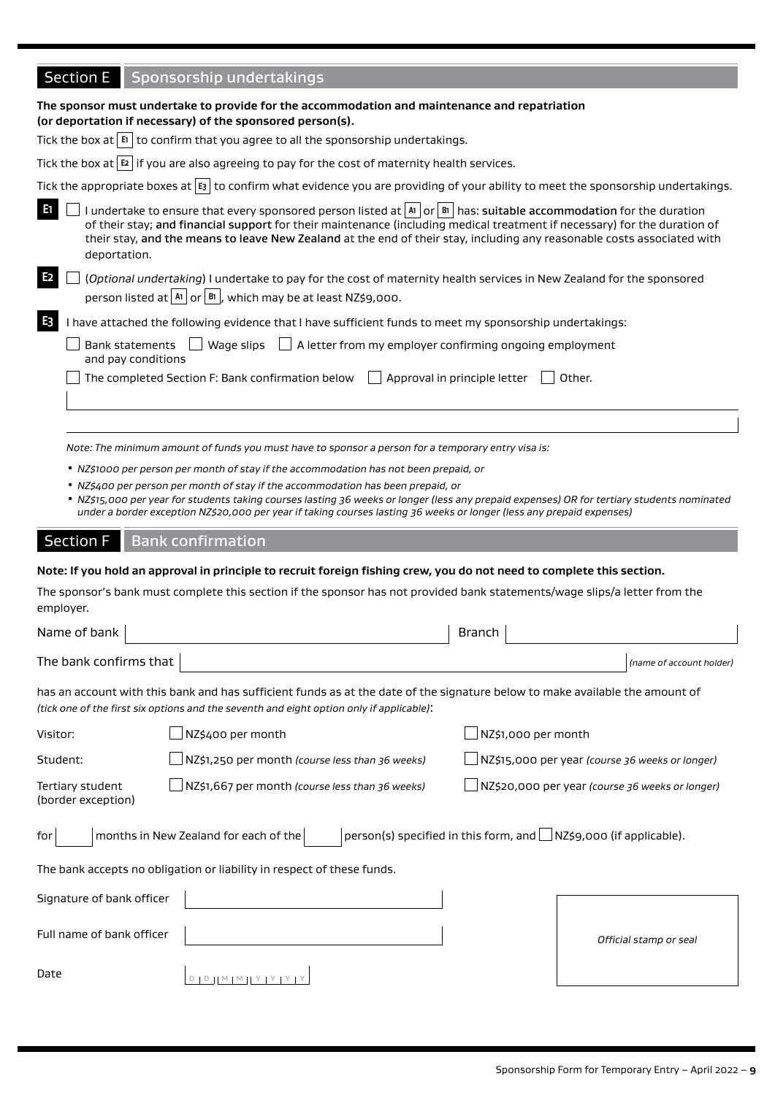| Section E Sponsorship undertakings                                                                                                                        |
|-----------------------------------------------------------------------------------------------------------------------------------------------------------|
| The sponsor must undertake to provide for the accommodation and maintenance and repatriation<br>(or deportation if necessary) of the sponsored person(s). |
| Tick the box at $\boxed{F}$ to confirm that you agree to all the sponsorship undertakings.                                                                |
| Tick the box at $\boxed{E}$ if you are also agreeing to pay for the cost of maternity health services.                                                    |

Tick the appropriate boxes at **E3** to confirm what evidence you are providing of your ability to meet the sponsorship undertakings.

**E1** I undertake to ensure that every sponsored person listed at **A1** or **B1** has: suitable accommodation for the duration of their stay; and financial support for their maintenance (including medical treatment if necessary) for the duration of their stay, and the means to leave New Zealand at the end of their stay, including any reasonable costs associated with deportation.

|  | $\vert\mathbf{E}\vert$ (Optional undertaking) I undertake to pay for the cost of maternity health services in New Zealand for the sponsored |  |  |  |
|--|---------------------------------------------------------------------------------------------------------------------------------------------|--|--|--|
|  | person listed at $ ^{A1}$ or $ ^{B1}$ , which may be at least NZ\$9,000.                                                                    |  |  |  |

#### **E3** I have attached the following evidence that I have sufficient funds to meet my sponsorship undertakings:

|                    | $\Box$ Bank statements $\Box$ Wage slips $\Box$ A letter from my employer confirming ongoing employment |
|--------------------|---------------------------------------------------------------------------------------------------------|
| and pay conditions |                                                                                                         |

| $\Box$ The completed Section F: Bank confirmation below $\Box$ Approval in principle letter $\Box$ Other. |  |  |
|-----------------------------------------------------------------------------------------------------------|--|--|
|-----------------------------------------------------------------------------------------------------------|--|--|

*Note: The minimum amount of funds you must have to sponsor a person for a temporary entry visa is:*

- *NZ\$1000 per person per month of stay if the accommodation has not been prepaid, or*
- *NZ\$400 per person per month of stay if the accommodation has been prepaid, or*
- *NZ\$15,000 per year for students taking courses lasting 36 weeks or longer (less any prepaid expenses) OR for tertiary students nominated under a border exception NZ\$20,000 per year if taking courses lasting 36 weeks or longer (less any prepaid expenses)*

#### Section F | Bank confirmation

#### **Note: If you hold an approval in principle to recruit foreign fishing crew, you do not need to complete this section.**

The sponsor's bank must complete this section if the sponsor has not provided bank statements/wage slips/a letter from the employer.

| Name of bank                           |                                                                                                                                                                                                                          | <b>Branch</b>       |                                                                    |
|----------------------------------------|--------------------------------------------------------------------------------------------------------------------------------------------------------------------------------------------------------------------------|---------------------|--------------------------------------------------------------------|
| The bank confirms that                 |                                                                                                                                                                                                                          |                     | (name of account holder)                                           |
|                                        | has an account with this bank and has sufficient funds as at the date of the signature below to make available the amount of<br>(tick one of the first six options and the seventh and eight option only if applicable): |                     |                                                                    |
| Visitor:                               | NZ\$400 per month                                                                                                                                                                                                        | NZ\$1,000 per month |                                                                    |
| Student:                               | $\Box$ NZ\$1,250 per month (course less than 36 weeks)                                                                                                                                                                   |                     | NZ\$15,000 per year (course 36 weeks or longer)                    |
| Tertiary student<br>(border exception) | $\Box$ NZ\$1,667 per month (course less than 36 weeks)                                                                                                                                                                   |                     | NZ\$20,000 per year (course 36 weeks or longer)                    |
| for                                    | months in New Zealand for each of the                                                                                                                                                                                    |                     | person(s) specified in this form, and   NZ\$9,000 (if applicable). |
|                                        | The bank accepts no obligation or liability in respect of these funds.                                                                                                                                                   |                     |                                                                    |
| Signature of bank officer              |                                                                                                                                                                                                                          |                     |                                                                    |
| Full name of bank officer              |                                                                                                                                                                                                                          |                     | Official stamp or seal                                             |
| Date                                   | $D \parallel M \parallel M \parallel Y \parallel Y \parallel$                                                                                                                                                            |                     |                                                                    |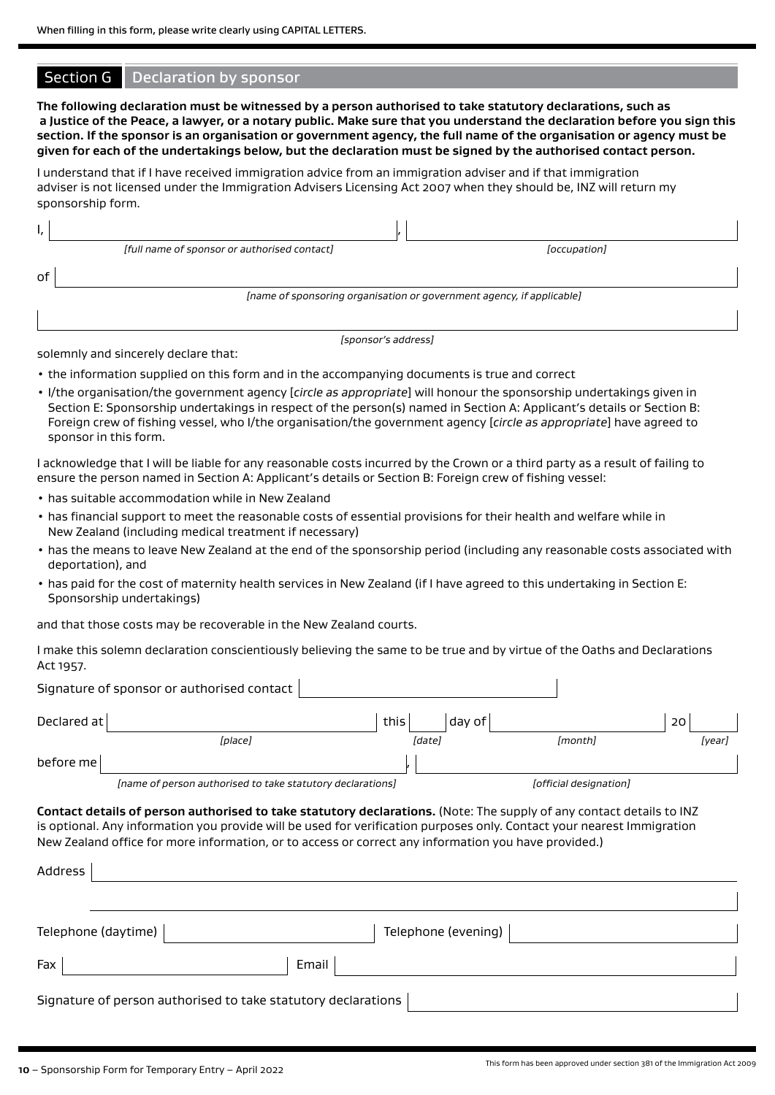#### Section G | Declaration by sponsor

**The following declaration must be witnessed by a person authorised to take statutory declarations, such as a Justice of the Peace, a lawyer, or a notary public. Make sure that you understand the declaration before you sign this section. If the sponsor is an organisation or government agency, the full name of the organisation or agency must be given for each of the undertakings below, but the declaration must be signed by the authorised contact person.**

I understand that if I have received immigration advice from an immigration adviser and if that immigration adviser is not licensed under the Immigration Advisers Licensing Act 2007 when they should be, INZ will return my sponsorship form.

| ٠, |                                                                       |              |
|----|-----------------------------------------------------------------------|--------------|
|    | [full name of sponsor or authorised contact]                          | [occupation] |
| of |                                                                       |              |
|    | [name of sponsoring organisation or government agency, if applicable] |              |
|    |                                                                       |              |

*[sponsor's address]*

solemnly and sincerely declare that:

- the information supplied on this form and in the accompanying documents is true and correct
- I/the organisation/the government agency [*circle as appropriate*] will honour the sponsorship undertakings given in Section E: Sponsorship undertakings in respect of the person(s) named in Section A: Applicant's details or Section B: Foreign crew of fishing vessel, who I/the organisation/the government agency [*circle as appropriate*] have agreed to sponsor in this form.

I acknowledge that I will be liable for any reasonable costs incurred by the Crown or a third party as a result of failing to ensure the person named in Section A: Applicant's details or Section B: Foreign crew of fishing vessel:

- has suitable accommodation while in New Zealand
- has financial support to meet the reasonable costs of essential provisions for their health and welfare while in New Zealand (including medical treatment if necessary)
- has the means to leave New Zealand at the end of the sponsorship period (including any reasonable costs associated with deportation), and
- has paid for the cost of maternity health services in New Zealand (if I have agreed to this undertaking in Section E: Sponsorship undertakings)

and that those costs may be recoverable in the New Zealand courts.

I make this solemn declaration conscientiously believing the same to be true and by virtue of the Oaths and Declarations Act 1957.

|               | Signature of sponsor or authorised contact                 |      |        |        |                        |                 |        |
|---------------|------------------------------------------------------------|------|--------|--------|------------------------|-----------------|--------|
| Declared at l |                                                            | this |        | dav of |                        | 20 <sup>1</sup> |        |
|               | <i>[place]</i>                                             |      | [date] |        | [month]                |                 | [year] |
| before mel    |                                                            |      |        |        |                        |                 |        |
|               | [name of person authorised to take statutory declarations] |      |        |        | [official designation] |                 |        |

**Contact details of person authorised to take statutory declarations.** (Note: The supply of any contact details to INZ is optional. Any information you provide will be used for verification purposes only. Contact your nearest Immigration New Zealand office for more information, or to access or correct any information you have provided.)

| Address                                                       |                     |
|---------------------------------------------------------------|---------------------|
|                                                               |                     |
| Telephone (daytime)                                           | Telephone (evening) |
| Fax                                                           | Email               |
| Signature of person authorised to take statutory declarations |                     |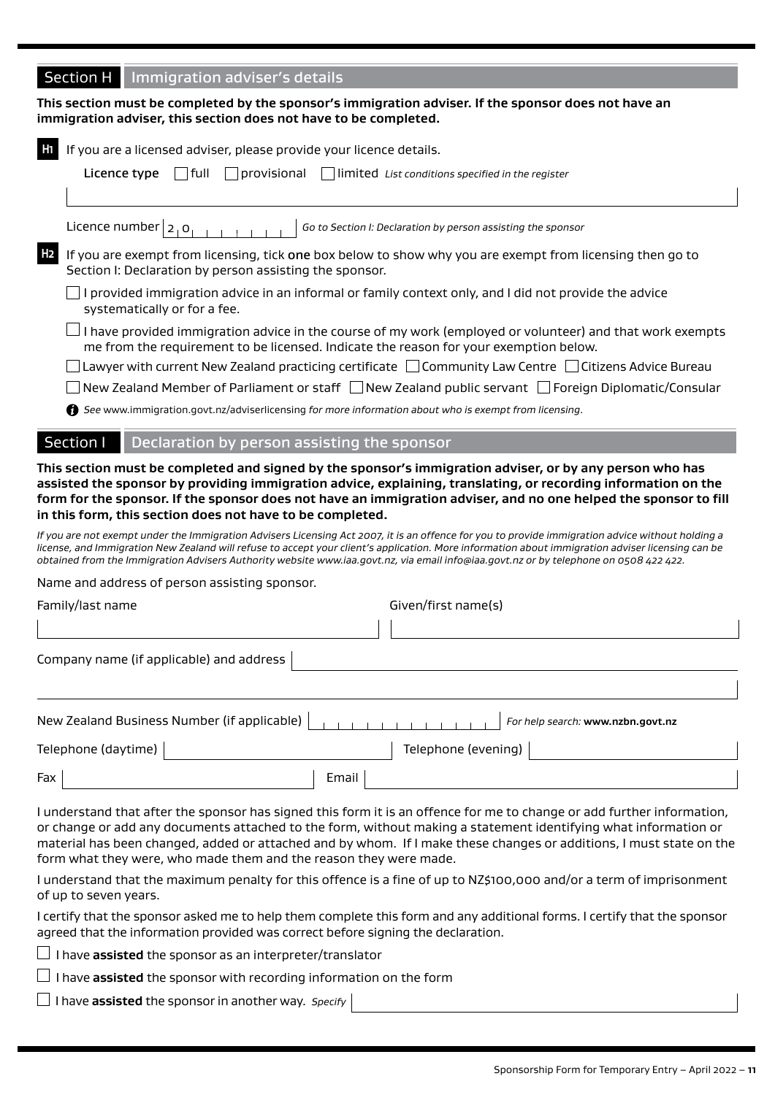## **Section H** Immigration adviser's details

**This section must be completed by the sponsor's immigration adviser. If the sponsor does not have an immigration adviser, this section does not have to be completed.**

|                        | If you are a licensed adviser, please provide your licence details.                                                                                                                                                                                                                                                                                                                                                                             |
|------------------------|-------------------------------------------------------------------------------------------------------------------------------------------------------------------------------------------------------------------------------------------------------------------------------------------------------------------------------------------------------------------------------------------------------------------------------------------------|
| Licence type           | full<br> provisional<br>limited List conditions specified in the register                                                                                                                                                                                                                                                                                                                                                                       |
|                        |                                                                                                                                                                                                                                                                                                                                                                                                                                                 |
| Licence number $ 2,0 $ | Go to Section I: Declaration by person assisting the sponsor                                                                                                                                                                                                                                                                                                                                                                                    |
| H <sub>2</sub>         | If you are exempt from licensing, tick one box below to show why you are exempt from licensing then go to<br>Section I: Declaration by person assisting the sponsor.                                                                                                                                                                                                                                                                            |
|                        | I provided immigration advice in an informal or family context only, and I did not provide the advice<br>systematically or for a fee.                                                                                                                                                                                                                                                                                                           |
|                        | I have provided immigration advice in the course of my work (employed or volunteer) and that work exempts<br>me from the requirement to be licensed. Indicate the reason for your exemption below.                                                                                                                                                                                                                                              |
|                        | Lawyer with current New Zealand practicing certificate □ Community Law Centre □ Citizens Advice Bureau                                                                                                                                                                                                                                                                                                                                          |
|                        | New Zealand Member of Parliament or staff □ New Zealand public servant □ Foreign Diplomatic/Consular                                                                                                                                                                                                                                                                                                                                            |
|                        | See www.immigration.govt.nz/adviserlicensing for more information about who is exempt from licensing.                                                                                                                                                                                                                                                                                                                                           |
| Section I              | Declaration by person assisting the sponsor                                                                                                                                                                                                                                                                                                                                                                                                     |
|                        |                                                                                                                                                                                                                                                                                                                                                                                                                                                 |
|                        | This section must be completed and signed by the sponsor's immigration adviser, or by any person who has<br>assisted the sponsor by providing immigration advice, explaining, translating, or recording information on the<br>form for the sponsor. If the sponsor does not have an immigration adviser, and no one helped the sponsor to fill<br>in this form, this section does not have to be completed.                                     |
|                        | If you are not exempt under the Immigration Advisers Licensing Act 2007, it is an offence for you to provide immigration advice without holding a<br>license, and Immigration New Zealand will refuse to accept your client's application. More information about immigration adviser licensing can be<br>obtained from the Immigration Advisers Authority website www.iaa.govt.nz, via email info@iaa.govt.nz or by telephone on 0508 422 422. |
|                        | Name and address of person assisting sponsor.                                                                                                                                                                                                                                                                                                                                                                                                   |
|                        | Given/first name(s)                                                                                                                                                                                                                                                                                                                                                                                                                             |
|                        |                                                                                                                                                                                                                                                                                                                                                                                                                                                 |
| Family/last name       | Company name (if applicable) and address                                                                                                                                                                                                                                                                                                                                                                                                        |
|                        | New Zealand Business Number (if applicable)<br>For help search: www.nzbn.govt.nz                                                                                                                                                                                                                                                                                                                                                                |
| Telephone (daytime)    | Telephone (evening)                                                                                                                                                                                                                                                                                                                                                                                                                             |

I understand that after the sponsor has signed this form it is an offence for me to change or add further information, or change or add any documents attached to the form, without making a statement identifying what information or material has been changed, added or attached and by whom. If I make these changes or additions, I must state on the form what they were, who made them and the reason they were made.

I understand that the maximum penalty for this offence is a fine of up to NZ\$100,000 and/or a term of imprisonment of up to seven years.

I certify that the sponsor asked me to help them complete this form and any additional forms. I certify that the sponsor agreed that the information provided was correct before signing the declaration.

 $\Box$  I have **assisted** the sponsor as an interpreter/translator

 $\Box$  I have **assisted** the sponsor with recording information on the form

I have **assisted** the sponsor in another way. *Specify*